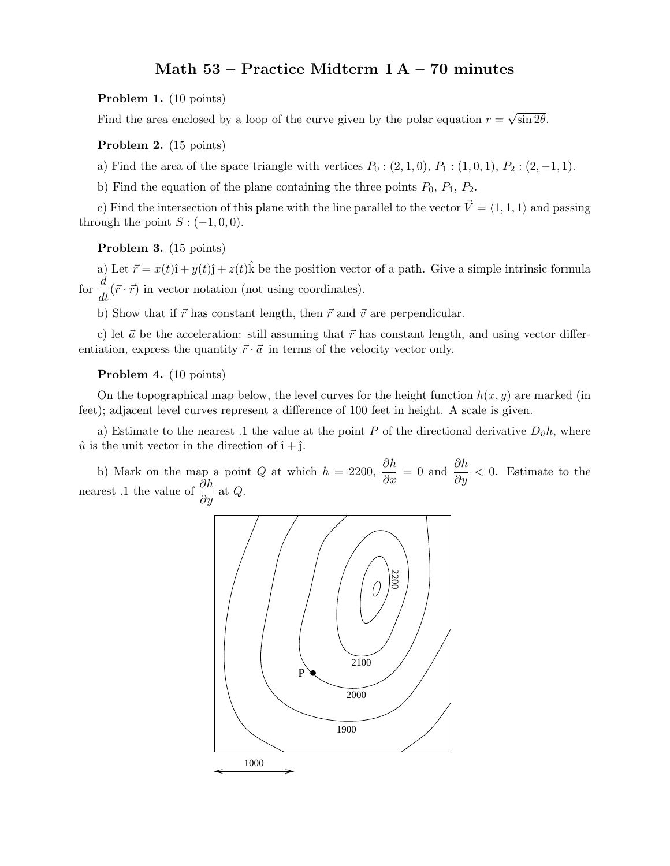# Math 53 – Practice Midterm 1 A – 70 minutes

#### Problem 1. (10 points)

Find the area enclosed by a loop of the curve given by the polar equation  $r = \sqrt{\sin 2\theta}$ .

## Problem 2. (15 points)

a) Find the area of the space triangle with vertices  $P_0$  :  $(2, 1, 0), P_1$  :  $(1, 0, 1), P_2$  :  $(2, -1, 1)$ .

b) Find the equation of the plane containing the three points  $P_0$ ,  $P_1$ ,  $P_2$ .

c) Find the intersection of this plane with the line parallel to the vector  $\vec{V} = \langle 1, 1, 1 \rangle$  and passing through the point  $S: (-1, 0, 0)$ .

#### Problem 3. (15 points)

a) Let  $\vec{r} = x(t)\hat{i} + y(t)\hat{j} + z(t)\hat{k}$  be the position vector of a path. Give a simple intrinsic formula for  $\frac{d}{dt}(\vec{r} \cdot \vec{r})$  in vector notation (not using coordinates).

b) Show that if  $\vec{r}$  has constant length, then  $\vec{r}$  and  $\vec{v}$  are perpendicular.

c) let  $\vec{a}$  be the acceleration: still assuming that  $\vec{r}$  has constant length, and using vector differentiation, express the quantity  $\vec{r} \cdot \vec{a}$  in terms of the velocity vector only.

## Problem 4. (10 points)

On the topographical map below, the level curves for the height function  $h(x, y)$  are marked (in feet); adjacent level curves represent a difference of 100 feet in height. A scale is given.

a) Estimate to the nearest .1 the value at the point P of the directional derivative  $D_{\hat{u}}h$ , where  $\hat{u}$  is the unit vector in the direction of  $\hat{i} + \hat{j}$ .

b) Mark on the map a point Q at which  $h = 2200$ ,  $\frac{\partial h}{\partial x} = 0$  and  $\frac{\partial h}{\partial y} < 0$ . Estimate to the nearest .1 the value of  $\frac{\partial h}{\partial y}$  at Q.